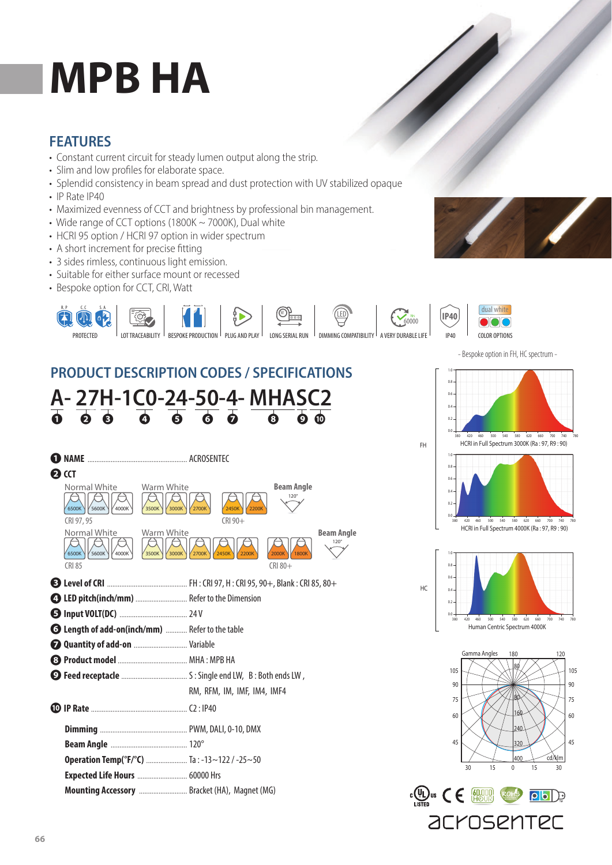# **MPB HA**

#### **FEATURES**

- Constant current circuit for steady lumen output along the strip.
- Slim and low profiles for elaborate space.
- Splendid consistency in beam spread and dust protection with UV stabilized opaque
- IP Rate IP40
- Maximized evenness of CCT and brightness by professional bin management.
- Wide range of CCT options (1800K ~ 7000K), Dual white
- HCRI 95 option / HCRI 97 option in wider spectrum
- A short increment for precise fitting
- 3 sides rimless, continuous light emission.
- Suitable for either surface mount or recessed
- Bespoke option for CCT, CRI, Watt



## **PRODUCT DESCRIPTION CODES / SPECIFICATIONS**





- Bespoke option in FH, HC spectrum -

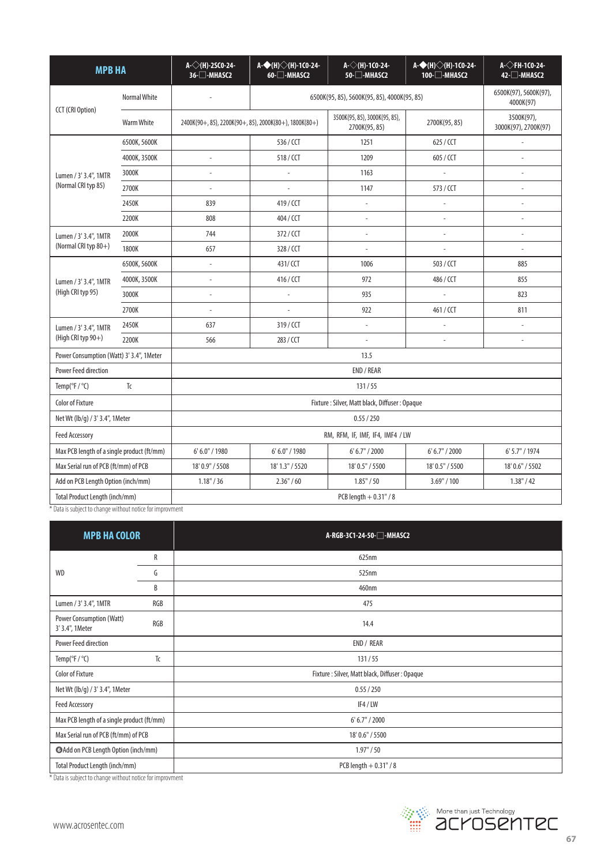| <b>MPB HA</b>                                            |              | A- $\diamond$ (H)-2SC0-24-<br>36-□-MHASC2              | A-◆(H)◇(H)-1C0-24-<br>$60 - $ -MHASC2 | A-◇(H)-1C0-24-<br>50-□-MHASC2                  | A-◆(H)◇(H)-1C0-24-<br>100-□-MHASC2 | A- $\Diamond$ FH-1C0-24-<br>42-□-MHASC2 |
|----------------------------------------------------------|--------------|--------------------------------------------------------|---------------------------------------|------------------------------------------------|------------------------------------|-----------------------------------------|
| CCT (CRI Option)                                         | Normal White | 6500K(95, 85), 5600K(95, 85), 4000K(95, 85)            |                                       |                                                | 6500K(97), 5600K(97),<br>4000K(97) |                                         |
|                                                          | Warm White   | 2400K(90+, 85), 2200K(90+, 85), 2000K(80+), 1800K(80+) |                                       | 3500K(95, 85), 3000K(95, 85),<br>2700K(95, 85) | 2700K(95, 85)                      | 3500K(97),<br>3000K(97), 2700K(97)      |
| Lumen / 3' 3.4", 1MTR<br>(Normal CRI typ 85)             | 6500K, 5600K |                                                        | 536 / CCT                             | 1251                                           | 625 / CCT                          |                                         |
|                                                          | 4000K, 3500K |                                                        | 518/CCT                               | 1209                                           | 605 / CCT                          |                                         |
|                                                          | 3000K        |                                                        |                                       | 1163                                           | $\overline{a}$                     |                                         |
|                                                          | 2700K        |                                                        | $\overline{a}$                        | 1147                                           | 573 / CCT                          |                                         |
|                                                          | 2450K        | 839                                                    | 419/CCT                               | $\overline{a}$                                 |                                    |                                         |
|                                                          | 2200K        | 808                                                    | 404 / CCT                             | $\overline{a}$                                 |                                    | $\overline{a}$                          |
| Lumen / 3' 3.4", 1MTR<br>(Normal CRI typ 80+)            | 2000K        | 744                                                    | 372/CCT                               | $\overline{a}$                                 | $\overline{a}$                     |                                         |
|                                                          | 1800K        | 657                                                    | 328/CCT                               |                                                |                                    | $\overline{a}$                          |
| Lumen / 3' 3.4", 1MTR<br>(High CRI typ 95)               | 6500K, 5600K | $\overline{a}$                                         | 431/CCT                               | 1006                                           | 503 / CCT                          | 885                                     |
|                                                          | 4000K, 3500K | $\overline{a}$                                         | 416 / CCT                             | 972                                            | 486 / CCT                          | 855                                     |
|                                                          | 3000K        | ÷,                                                     |                                       | 935                                            | $\overline{a}$                     | 823                                     |
|                                                          | 2700K        | ÷,                                                     | $\overline{a}$                        | 922                                            | 461/CCT                            | 811                                     |
| Lumen / 3' 3.4", 1MTR<br>(High CRI typ 90+)              | 2450K        | 637                                                    | 319/CCT                               | $\overline{a}$                                 |                                    | $\overline{\phantom{a}}$                |
|                                                          | 2200K        | 566                                                    | 283 / CCT                             | $\overline{a}$                                 | $\overline{a}$                     | $\overline{a}$                          |
| Power Consumption (Watt) 3' 3.4", 1Meter                 |              | 13.5                                                   |                                       |                                                |                                    |                                         |
| <b>Power Feed direction</b>                              |              | END / REAR                                             |                                       |                                                |                                    |                                         |
| T <sub>c</sub><br>Temp( ${}^{\circ}$ F / ${}^{\circ}$ C) |              | 131/55                                                 |                                       |                                                |                                    |                                         |
| <b>Color of Fixture</b>                                  |              | Fixture: Silver, Matt black, Diffuser: Opaque          |                                       |                                                |                                    |                                         |
| Net Wt (lb/g) / 3' 3.4", 1Meter                          |              | 0.55 / 250                                             |                                       |                                                |                                    |                                         |
| <b>Feed Accessory</b>                                    |              | RM, RFM, IF, IMF, IF4, IMF4 / LW                       |                                       |                                                |                                    |                                         |
| Max PCB length of a single product (ft/mm)               |              | 6' 6.0" / 1980                                         | 6' 6.0" / 1980                        | 6' 6.7'' / 2000                                | 6' 6.7'' / 2000                    | 6' 5.7" / 1974                          |
| Max Serial run of PCB (ft/mm) of PCB                     |              | 18' 0.9" / 5508                                        | 18' 1.3" / 5520                       | 18' 0.5" / 5500                                | 18' 0.5" / 5500                    | 18' 0.6" / 5502                         |
| Add on PCB Length Option (inch/mm)                       |              | 1.18" / 36                                             | 2.36" / 60                            | 1.85" / 50                                     | 3.69" / 100                        | 1.38" / 42                              |
| Total Product Length (inch/mm)                           |              | PCB length $+0.31$ " / 8                               |                                       |                                                |                                    |                                         |

\* Data is subject to change without notice for improvment

| <b>MPB HA COLOR</b>                                |              | A-RGB-3C1-24-50-□-MHASC2                      |  |  |
|----------------------------------------------------|--------------|-----------------------------------------------|--|--|
|                                                    | $\mathsf{R}$ | 625nm                                         |  |  |
| <b>WD</b>                                          | G            | 525nm                                         |  |  |
|                                                    | B            | 460nm                                         |  |  |
| Lumen / 3' 3.4", 1MTR                              | RGB          | 475                                           |  |  |
| <b>Power Consumption (Watt)</b><br>3' 3.4", 1Meter | RGB          | 14.4                                          |  |  |
| Power Feed direction                               |              | END / REAR                                    |  |  |
| Temp( ${}^{\circ}$ F / ${}^{\circ}$ C)             | Tc           | 131/55                                        |  |  |
| <b>Color of Fixture</b>                            |              | Fixture: Silver, Matt black, Diffuser: Opaque |  |  |
| Net Wt (lb/g) / 3' 3.4", 1Meter                    |              | 0.55 / 250                                    |  |  |
| Feed Accessory                                     |              | IF4/LW                                        |  |  |
| Max PCB length of a single product (ft/mm)         |              | 6' 6.7'' / 2000                               |  |  |
| Max Serial run of PCB (ft/mm) of PCB               |              | 18' 0.6" / 5500                               |  |  |
| Add on PCB Length Option (inch/mm)                 |              | 1.97" / 50                                    |  |  |
| Total Product Length (inch/mm)                     |              | PCB length $+0.31$ " / 8                      |  |  |

\* Data is subject to change without notice for improvment

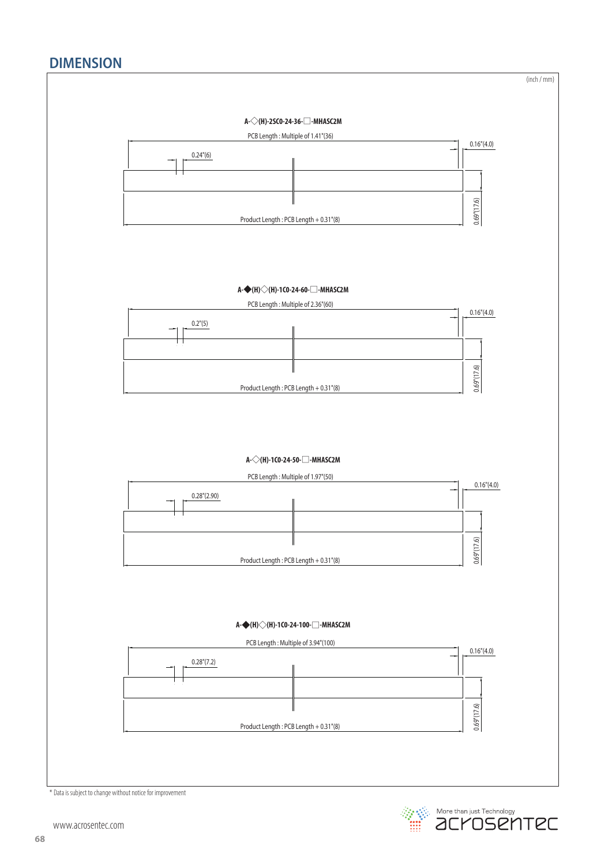### **DIMENSION**